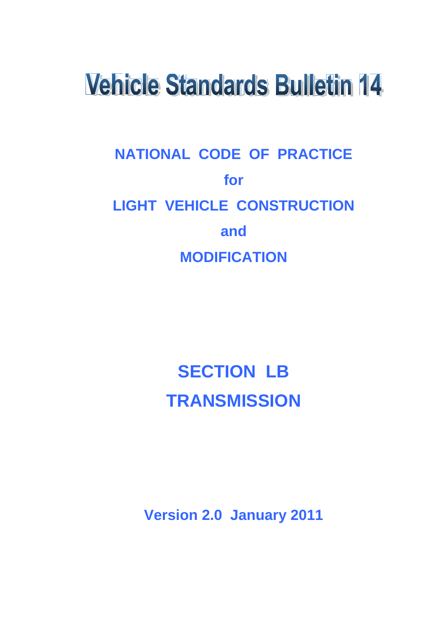# **Vehicle Standards Bulletin 14**

# **NATIONAL CODE OF PRACTICE for LIGHT VEHICLE CONSTRUCTION and MODIFICATION**

# **SECTION LB TRANSMISSION**

**Version 2.0 January 2011**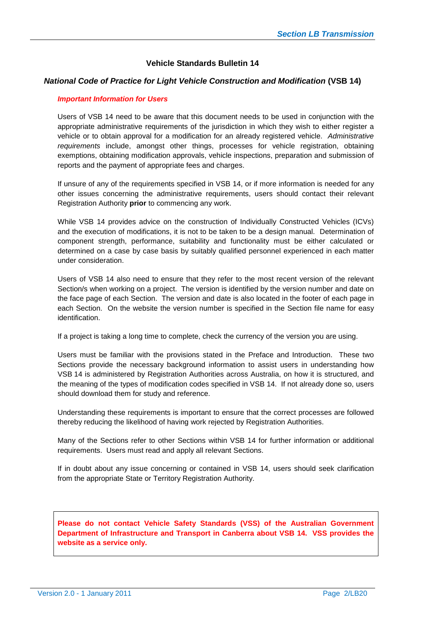# **Vehicle Standards Bulletin 14**

#### *National Code of Practice for Light Vehicle Construction and Modification* **(VSB 14)**

#### *Important Information for Users*

Users of VSB 14 need to be aware that this document needs to be used in conjunction with the appropriate administrative requirements of the jurisdiction in which they wish to either register a vehicle or to obtain approval for a modification for an already registered vehicle. *Administrative requirements* include, amongst other things, processes for vehicle registration, obtaining exemptions, obtaining modification approvals, vehicle inspections, preparation and submission of reports and the payment of appropriate fees and charges.

If unsure of any of the requirements specified in VSB 14, or if more information is needed for any other issues concerning the administrative requirements, users should contact their relevant Registration Authority **prior** to commencing any work.

While VSB 14 provides advice on the construction of Individually Constructed Vehicles (ICVs) and the execution of modifications, it is not to be taken to be a design manual. Determination of component strength, performance, suitability and functionality must be either calculated or determined on a case by case basis by suitably qualified personnel experienced in each matter under consideration.

Users of VSB 14 also need to ensure that they refer to the most recent version of the relevant Section/s when working on a project. The version is identified by the version number and date on the face page of each Section. The version and date is also located in the footer of each page in each Section. On the website the version number is specified in the Section file name for easy identification.

If a project is taking a long time to complete, check the currency of the version you are using.

Users must be familiar with the provisions stated in the Preface and Introduction. These two Sections provide the necessary background information to assist users in understanding how VSB 14 is administered by Registration Authorities across Australia, on how it is structured, and the meaning of the types of modification codes specified in VSB 14. If not already done so, users should download them for study and reference.

Understanding these requirements is important to ensure that the correct processes are followed thereby reducing the likelihood of having work rejected by Registration Authorities.

Many of the Sections refer to other Sections within VSB 14 for further information or additional requirements. Users must read and apply all relevant Sections.

If in doubt about any issue concerning or contained in VSB 14, users should seek clarification from the appropriate State or Territory Registration Authority.

**Please do not contact Vehicle Safety Standards (VSS) of the Australian Government Department of Infrastructure and Transport in Canberra about VSB 14. VSS provides the website as a service only.**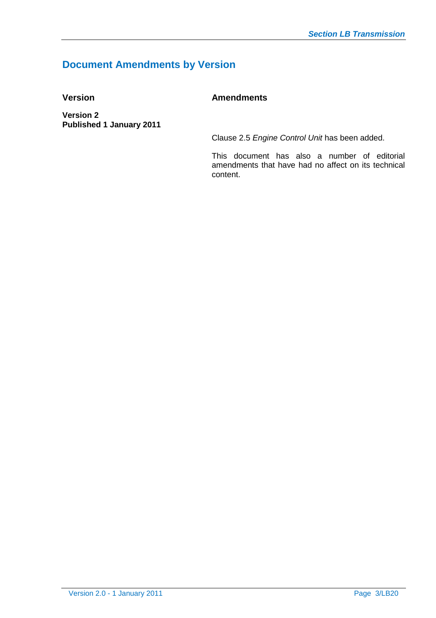# **Document Amendments by Version**

# **Version Amendments**

**Version 2 Published 1 January 2011**

Clause 2.5 *Engine Control Unit* has been added.

This document has also a number of editorial amendments that have had no affect on its technical content.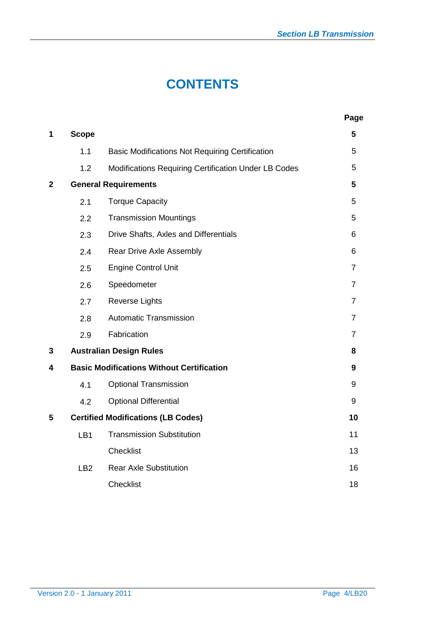# **CONTENTS**

|              |              |                                                        | Page           |
|--------------|--------------|--------------------------------------------------------|----------------|
| 1            | <b>Scope</b> |                                                        | 5              |
|              | 1.1          | <b>Basic Modifications Not Requiring Certification</b> | 5              |
|              | 1.2          | Modifications Requiring Certification Under LB Codes   | 5              |
| $\mathbf{2}$ |              | <b>General Requirements</b>                            | 5              |
|              | 2.1          | <b>Torque Capacity</b>                                 | 5              |
|              | 2.2          | <b>Transmission Mountings</b>                          | 5              |
|              | 2.3          | Drive Shafts, Axles and Differentials                  | 6              |
|              | 2.4          | Rear Drive Axle Assembly                               | 6              |
|              | 2.5          | <b>Engine Control Unit</b>                             | $\overline{7}$ |
|              | 2.6          | Speedometer                                            | $\overline{7}$ |
|              | 2.7          | <b>Reverse Lights</b>                                  | $\overline{7}$ |
|              | 2.8          | <b>Automatic Transmission</b>                          | $\overline{7}$ |
|              | 2.9          | Fabrication                                            | $\overline{7}$ |
| 3            |              | <b>Australian Design Rules</b>                         | 8              |
| 4            |              | <b>Basic Modifications Without Certification</b>       | 9              |
|              | 4.1          | <b>Optional Transmission</b>                           | 9              |
|              | 4.2          | <b>Optional Differential</b>                           | 9              |
| 5            |              | <b>Certified Modifications (LB Codes)</b>              | 10             |
|              | LB1          | <b>Transmission Substitution</b>                       | 11             |
|              |              | Checklist                                              | 13             |
|              | LB2          | <b>Rear Axle Substitution</b>                          | 16             |
|              |              | <b>Checklist</b>                                       | 18             |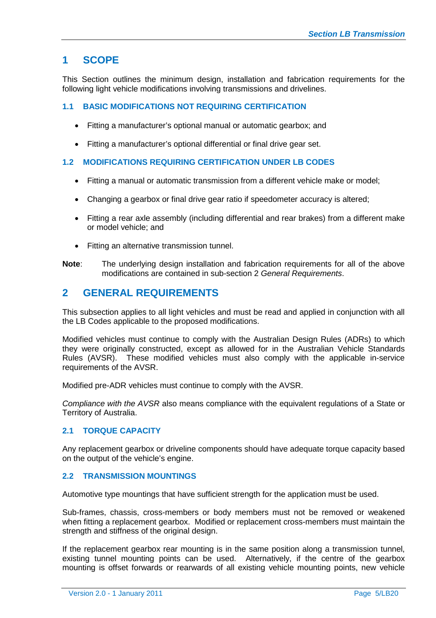# **1 SCOPE**

This Section outlines the minimum design, installation and fabrication requirements for the following light vehicle modifications involving transmissions and drivelines.

# **1.1 BASIC MODIFICATIONS NOT REQUIRING CERTIFICATION**

- Fitting a manufacturer's optional manual or automatic gearbox; and
- Fitting a manufacturer's optional differential or final drive gear set.

#### **1.2 MODIFICATIONS REQUIRING CERTIFICATION UNDER LB CODES**

- Fitting a manual or automatic transmission from a different vehicle make or model;
- Changing a gearbox or final drive gear ratio if speedometer accuracy is altered;
- Fitting a rear axle assembly (including differential and rear brakes) from a different make or model vehicle; and
- Fitting an alternative transmission tunnel.
- **Note**: The underlying design installation and fabrication requirements for all of the above modifications are contained in sub-section 2 *General Requirements*.

# **2 GENERAL REQUIREMENTS**

This subsection applies to all light vehicles and must be read and applied in conjunction with all the LB Codes applicable to the proposed modifications.

Modified vehicles must continue to comply with the Australian Design Rules (ADRs) to which they were originally constructed, except as allowed for in the Australian Vehicle Standards Rules (AVSR). These modified vehicles must also comply with the applicable in-service requirements of the AVSR.

Modified pre-ADR vehicles must continue to comply with the AVSR.

*Compliance with the AVSR* also means compliance with the equivalent regulations of a State or Territory of Australia.

# **2.1 TORQUE CAPACITY**

Any replacement gearbox or driveline components should have adequate torque capacity based on the output of the vehicle's engine.

# **2.2 TRANSMISSION MOUNTINGS**

Automotive type mountings that have sufficient strength for the application must be used.

Sub-frames, chassis, cross-members or body members must not be removed or weakened when fitting a replacement gearbox. Modified or replacement cross-members must maintain the strength and stiffness of the original design.

If the replacement gearbox rear mounting is in the same position along a transmission tunnel, existing tunnel mounting points can be used. Alternatively, if the centre of the gearbox mounting is offset forwards or rearwards of all existing vehicle mounting points, new vehicle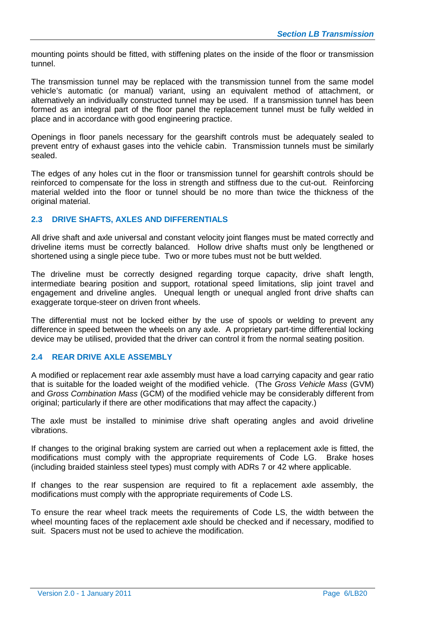mounting points should be fitted, with stiffening plates on the inside of the floor or transmission tunnel.

The transmission tunnel may be replaced with the transmission tunnel from the same model vehicle's automatic (or manual) variant, using an equivalent method of attachment, or alternatively an individually constructed tunnel may be used. If a transmission tunnel has been formed as an integral part of the floor panel the replacement tunnel must be fully welded in place and in accordance with good engineering practice.

Openings in floor panels necessary for the gearshift controls must be adequately sealed to prevent entry of exhaust gases into the vehicle cabin. Transmission tunnels must be similarly sealed.

The edges of any holes cut in the floor or transmission tunnel for gearshift controls should be reinforced to compensate for the loss in strength and stiffness due to the cut-out. Reinforcing material welded into the floor or tunnel should be no more than twice the thickness of the original material.

# **2.3 DRIVE SHAFTS, AXLES AND DIFFERENTIALS**

All drive shaft and axle universal and constant velocity joint flanges must be mated correctly and driveline items must be correctly balanced. Hollow drive shafts must only be lengthened or shortened using a single piece tube. Two or more tubes must not be butt welded.

The driveline must be correctly designed regarding torque capacity, drive shaft length, intermediate bearing position and support, rotational speed limitations, slip joint travel and engagement and driveline angles. Unequal length or unequal angled front drive shafts can exaggerate torque-steer on driven front wheels.

The differential must not be locked either by the use of spools or welding to prevent any difference in speed between the wheels on any axle. A proprietary part-time differential locking device may be utilised, provided that the driver can control it from the normal seating position.

# **2.4 REAR DRIVE AXLE ASSEMBLY**

A modified or replacement rear axle assembly must have a load carrying capacity and gear ratio that is suitable for the loaded weight of the modified vehicle. (The *Gross Vehicle Mass* (GVM) and *Gross Combination Mass* (GCM) of the modified vehicle may be considerably different from original; particularly if there are other modifications that may affect the capacity.)

The axle must be installed to minimise drive shaft operating angles and avoid driveline vibrations.

If changes to the original braking system are carried out when a replacement axle is fitted, the modifications must comply with the appropriate requirements of Code LG. Brake hoses (including braided stainless steel types) must comply with ADRs 7 or 42 where applicable.

If changes to the rear suspension are required to fit a replacement axle assembly, the modifications must comply with the appropriate requirements of Code LS.

To ensure the rear wheel track meets the requirements of Code LS, the width between the wheel mounting faces of the replacement axle should be checked and if necessary, modified to suit. Spacers must not be used to achieve the modification.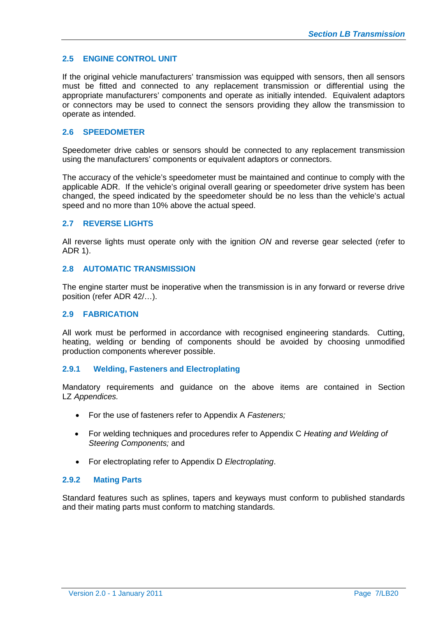# **2.5 ENGINE CONTROL UNIT**

If the original vehicle manufacturers' transmission was equipped with sensors, then all sensors must be fitted and connected to any replacement transmission or differential using the appropriate manufacturers' components and operate as initially intended. Equivalent adaptors or connectors may be used to connect the sensors providing they allow the transmission to operate as intended.

# **2.6 SPEEDOMETER**

Speedometer drive cables or sensors should be connected to any replacement transmission using the manufacturers' components or equivalent adaptors or connectors.

The accuracy of the vehicle's speedometer must be maintained and continue to comply with the applicable ADR. If the vehicle's original overall gearing or speedometer drive system has been changed, the speed indicated by the speedometer should be no less than the vehicle's actual speed and no more than 10% above the actual speed.

# **2.7 REVERSE LIGHTS**

All reverse lights must operate only with the ignition *ON* and reverse gear selected (refer to ADR 1).

#### **2.8 AUTOMATIC TRANSMISSION**

The engine starter must be inoperative when the transmission is in any forward or reverse drive position (refer ADR 42/…).

#### **2.9 FABRICATION**

All work must be performed in accordance with recognised engineering standards. Cutting, heating, welding or bending of components should be avoided by choosing unmodified production components wherever possible.

#### **2.9.1 Welding, Fasteners and Electroplating**

Mandatory requirements and guidance on the above items are contained in Section LZ *Appendices.*

- For the use of fasteners refer to Appendix A *Fasteners;*
- For welding techniques and procedures refer to Appendix C *Heating and Welding of Steering Components;* and
- For electroplating refer to Appendix D *Electroplating*.

#### **2.9.2 Mating Parts**

Standard features such as splines, tapers and keyways must conform to published standards and their mating parts must conform to matching standards.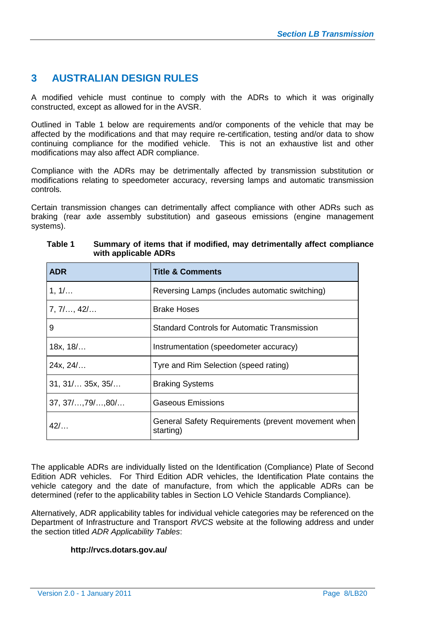# **3 AUSTRALIAN DESIGN RULES**

A modified vehicle must continue to comply with the ADRs to which it was originally constructed, except as allowed for in the AVSR.

Outlined in Table 1 below are requirements and/or components of the vehicle that may be affected by the modifications and that may require re-certification, testing and/or data to show continuing compliance for the modified vehicle. This is not an exhaustive list and other modifications may also affect ADR compliance.

Compliance with the ADRs may be detrimentally affected by transmission substitution or modifications relating to speedometer accuracy, reversing lamps and automatic transmission controls.

Certain transmission changes can detrimentally affect compliance with other ADRs such as braking (rear axle assembly substitution) and gaseous emissions (engine management systems).

| <b>ADR</b>                | <b>Title &amp; Comments</b>                                     |
|---------------------------|-----------------------------------------------------------------|
| 1, 1/                     | Reversing Lamps (includes automatic switching)                  |
| $7, 7/$ , 42/             | <b>Brake Hoses</b>                                              |
| 9                         | <b>Standard Controls for Automatic Transmission</b>             |
| 18x, 18/                  | Instrumentation (speedometer accuracy)                          |
| 24x, 24/                  | Tyre and Rim Selection (speed rating)                           |
| 31, 31/ 35x, 35/          | <b>Braking Systems</b>                                          |
| $37, 37/$ , $79/$ , $80/$ | <b>Gaseous Emissions</b>                                        |
| 42/                       | General Safety Requirements (prevent movement when<br>starting) |

#### **Table 1 Summary of items that if modified, may detrimentally affect compliance with applicable ADRs**

The applicable ADRs are individually listed on the Identification (Compliance) Plate of Second Edition ADR vehicles. For Third Edition ADR vehicles, the Identification Plate contains the vehicle category and the date of manufacture, from which the applicable ADRs can be determined (refer to the applicability tables in Section LO Vehicle Standards Compliance).

Alternatively, ADR applicability tables for individual vehicle categories may be referenced on the Department of Infrastructure and Transport *RVCS* website at the following address and under the section titled *ADR Applicability Tables*:

# **http://rvcs.dotars.gov.au/**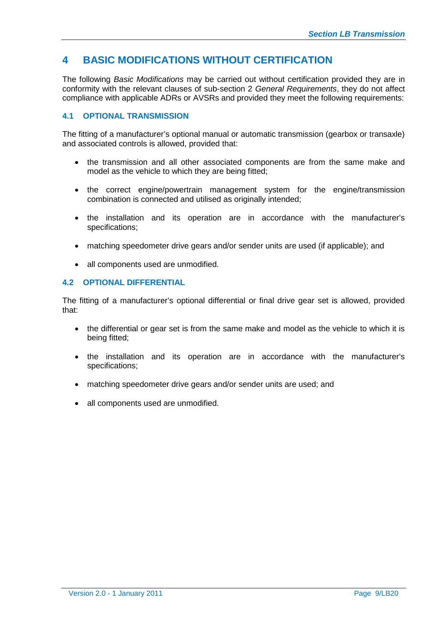# **4 BASIC MODIFICATIONS WITHOUT CERTIFICATION**

The following *Basic Modifications* may be carried out without certification provided they are in conformity with the relevant clauses of sub-section 2 *General Requirements*, they do not affect compliance with applicable ADRs or AVSRs and provided they meet the following requirements:

# **4.1 OPTIONAL TRANSMISSION**

The fitting of a manufacturer's optional manual or automatic transmission (gearbox or transaxle) and associated controls is allowed, provided that:

- the transmission and all other associated components are from the same make and model as the vehicle to which they are being fitted;
- the correct engine/powertrain management system for the engine/transmission combination is connected and utilised as originally intended;
- the installation and its operation are in accordance with the manufacturer's specifications;
- matching speedometer drive gears and/or sender units are used (if applicable); and
- all components used are unmodified.

# **4.2 OPTIONAL DIFFERENTIAL**

The fitting of a manufacturer's optional differential or final drive gear set is allowed, provided that:

- the differential or gear set is from the same make and model as the vehicle to which it is being fitted;
- the installation and its operation are in accordance with the manufacturer's specifications;
- matching speedometer drive gears and/or sender units are used; and
- all components used are unmodified.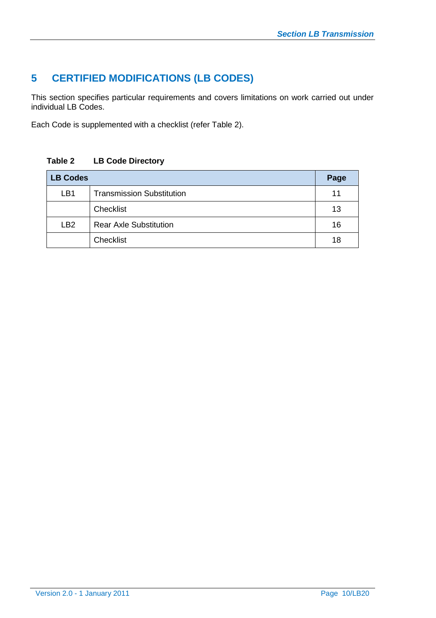# **5 CERTIFIED MODIFICATIONS (LB CODES)**

This section specifies particular requirements and covers limitations on work carried out under individual LB Codes.

Each Code is supplemented with a checklist (refer Table 2).

# **Table 2 LB Code Directory**

| <b>LB Codes</b> |                                  |    |  |  |  |  |  |
|-----------------|----------------------------------|----|--|--|--|--|--|
| LB1             | <b>Transmission Substitution</b> | 11 |  |  |  |  |  |
|                 | Checklist                        | 13 |  |  |  |  |  |
| LB <sub>2</sub> | <b>Rear Axle Substitution</b>    | 16 |  |  |  |  |  |
|                 | Checklist                        | 18 |  |  |  |  |  |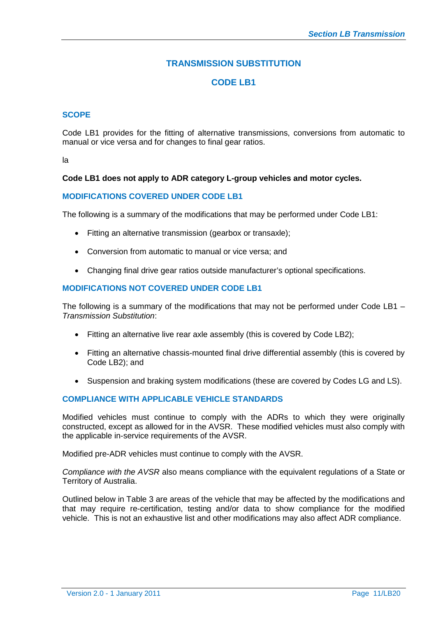# **TRANSMISSION SUBSTITUTION**

# **CODE LB1**

#### **SCOPE**

Code LB1 provides for the fitting of alternative transmissions, conversions from automatic to manual or vice versa and for changes to final gear ratios.

la

# **Code LB1 does not apply to ADR category L-group vehicles and motor cycles.**

#### **MODIFICATIONS COVERED UNDER CODE LB1**

The following is a summary of the modifications that may be performed under Code LB1:

- Fitting an alternative transmission (gearbox or transaxle);
- Conversion from automatic to manual or vice versa; and
- Changing final drive gear ratios outside manufacturer's optional specifications.

# **MODIFICATIONS NOT COVERED UNDER CODE LB1**

The following is a summary of the modifications that may not be performed under Code LB1 – *Transmission Substitution*:

- Fitting an alternative live rear axle assembly (this is covered by Code LB2);
- Fitting an alternative chassis-mounted final drive differential assembly (this is covered by Code LB2); and
- Suspension and braking system modifications (these are covered by Codes LG and LS).

#### **COMPLIANCE WITH APPLICABLE VEHICLE STANDARDS**

Modified vehicles must continue to comply with the ADRs to which they were originally constructed, except as allowed for in the AVSR. These modified vehicles must also comply with the applicable in-service requirements of the AVSR.

Modified pre-ADR vehicles must continue to comply with the AVSR.

*Compliance with the AVSR* also means compliance with the equivalent regulations of a State or Territory of Australia.

Outlined below in Table 3 are areas of the vehicle that may be affected by the modifications and that may require re-certification, testing and/or data to show compliance for the modified vehicle. This is not an exhaustive list and other modifications may also affect ADR compliance.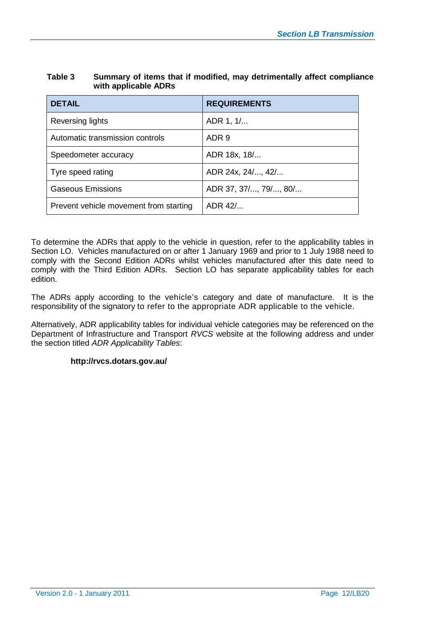| <b>DETAIL</b>                          | <b>REQUIREMENTS</b>   |
|----------------------------------------|-----------------------|
| Reversing lights                       | ADR 1, 1/             |
| Automatic transmission controls        | ADR 9                 |
| Speedometer accuracy                   | ADR 18x, 18/          |
| Tyre speed rating                      | ADR 24x, 24/, 42/     |
| <b>Gaseous Emissions</b>               | ADR 37, 37/, 79/, 80/ |
| Prevent vehicle movement from starting | ADR 42/               |

#### **Table 3 Summary of items that if modified, may detrimentally affect compliance with applicable ADRs**

To determine the ADRs that apply to the vehicle in question, refer to the applicability tables in Section LO. Vehicles manufactured on or after 1 January 1969 and prior to 1 July 1988 need to comply with the Second Edition ADRs whilst vehicles manufactured after this date need to comply with the Third Edition ADRs. Section LO has separate applicability tables for each edition.

The ADRs apply according to the vehicle's category and date of manufacture. It is the responsibility of the signatory to refer to the appropriate ADR applicable to the vehicle.

Alternatively, ADR applicability tables for individual vehicle categories may be referenced on the Department of Infrastructure and Transport *RVCS* website at the following address and under the section titled *ADR Applicability Tables*:

# **http://rvcs.dotars.gov.au/**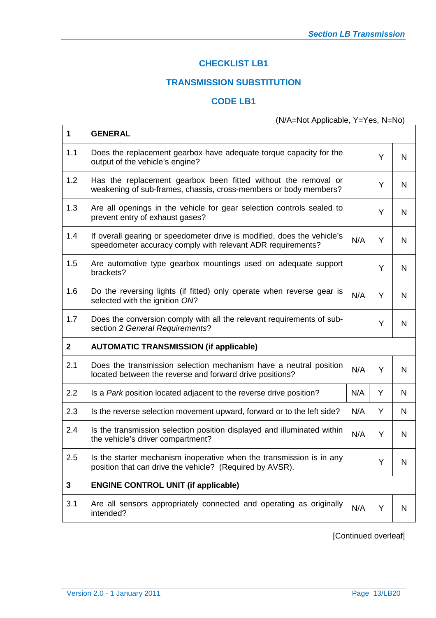# **CHECKLIST LB1**

# **TRANSMISSION SUBSTITUTION**

# **CODE LB1**

# (N/A=Not Applicable, Y=Yes, N=No)

| 1            | <b>GENERAL</b>                                                                                                                         |     |   |   |
|--------------|----------------------------------------------------------------------------------------------------------------------------------------|-----|---|---|
| 1.1          | Does the replacement gearbox have adequate torque capacity for the<br>output of the vehicle's engine?                                  |     | Y | N |
| 1.2          | Has the replacement gearbox been fitted without the removal or<br>weakening of sub-frames, chassis, cross-members or body members?     |     | Y | N |
| 1.3          | Are all openings in the vehicle for gear selection controls sealed to<br>prevent entry of exhaust gases?                               |     | Y | N |
| 1.4          | If overall gearing or speedometer drive is modified, does the vehicle's<br>speedometer accuracy comply with relevant ADR requirements? | N/A | Y | N |
| 1.5          | Are automotive type gearbox mountings used on adequate support<br>brackets?                                                            |     | Y | N |
| 1.6          | Do the reversing lights (if fitted) only operate when reverse gear is<br>selected with the ignition ON?                                | N/A | Y | N |
| 1.7          | Does the conversion comply with all the relevant requirements of sub-<br>section 2 General Requirements?                               |     | Y | N |
| $\mathbf{2}$ | <b>AUTOMATIC TRANSMISSION (if applicable)</b>                                                                                          |     |   |   |
| 2.1          | Does the transmission selection mechanism have a neutral position<br>located between the reverse and forward drive positions?          | N/A | Y | N |
| 2.2          | Is a Park position located adjacent to the reverse drive position?                                                                     | N/A | Y | N |
| 2.3          | Is the reverse selection movement upward, forward or to the left side?                                                                 | N/A | Y | N |
| 2.4          | Is the transmission selection position displayed and illuminated within<br>the vehicle's driver compartment?                           | N/A | Y | N |
| 2.5          | Is the starter mechanism inoperative when the transmission is in any<br>position that can drive the vehicle? (Required by AVSR).       |     | Y | N |
| 3            | <b>ENGINE CONTROL UNIT (if applicable)</b>                                                                                             |     |   |   |
| 3.1          | Are all sensors appropriately connected and operating as originally<br>intended?                                                       | N/A | Y | N |
|              |                                                                                                                                        |     |   |   |

[Continued overleaf]

 $\mathsf{r}$ 

 $\overline{\phantom{a}}$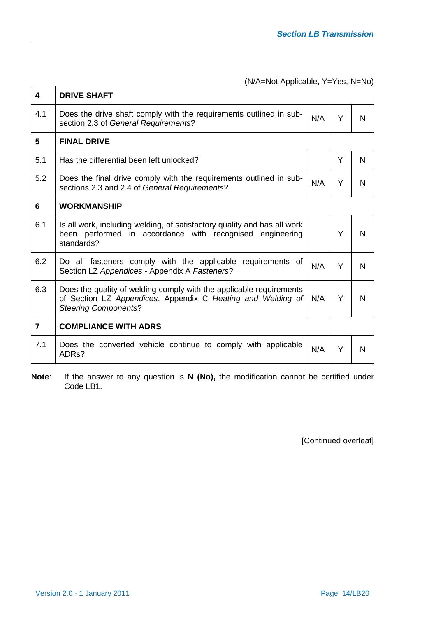(N/A=Not Applicable, Y=Yes, N=No)

| 4                       | <b>DRIVE SHAFT</b>                                                                                                                                                |     |   |   |
|-------------------------|-------------------------------------------------------------------------------------------------------------------------------------------------------------------|-----|---|---|
| 4.1                     | Does the drive shaft comply with the requirements outlined in sub-<br>section 2.3 of General Requirements?                                                        | N/A | Y | N |
| 5                       | <b>FINAL DRIVE</b>                                                                                                                                                |     |   |   |
| 5.1                     | Has the differential been left unlocked?                                                                                                                          |     | Y | N |
| 5.2                     | Does the final drive comply with the requirements outlined in sub-<br>sections 2.3 and 2.4 of General Requirements?                                               | N/A | Y | N |
| 6                       | <b>WORKMANSHIP</b>                                                                                                                                                |     |   |   |
| 6.1                     | Is all work, including welding, of satisfactory quality and has all work<br>been performed in accordance with recognised engineering<br>standards?                |     | Y | N |
| 6.2                     | Do all fasteners comply with the applicable requirements of<br>Section LZ Appendices - Appendix A Fasteners?                                                      | N/A | Y | N |
| 6.3                     | Does the quality of welding comply with the applicable requirements<br>of Section LZ Appendices, Appendix C Heating and Welding of<br><b>Steering Components?</b> | N/A | Y | N |
| $\overline{\mathbf{z}}$ | <b>COMPLIANCE WITH ADRS</b>                                                                                                                                       |     |   |   |
| 7.1                     | Does the converted vehicle continue to comply with applicable<br>ADR <sub>s</sub> ?                                                                               | N/A | Y | N |

**Note:** If the answer to any question is **N** (No), the modification cannot be certified under Code LB1.

[Continued overleaf]

 $\mathbf{r}$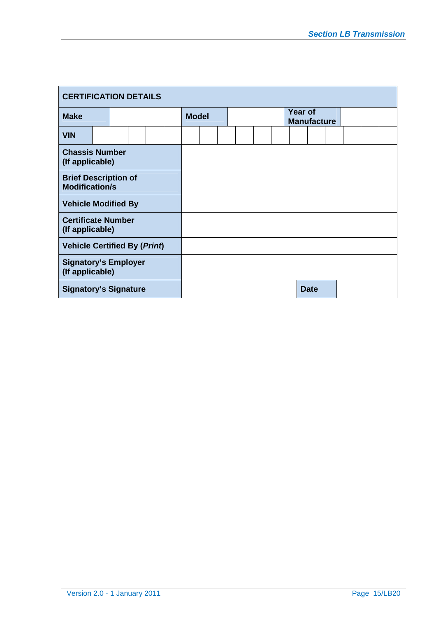| <b>CERTIFICATION DETAILS</b>                         |  |  |  |  |  |              |  |  |  |  |  |                               |             |  |  |  |
|------------------------------------------------------|--|--|--|--|--|--------------|--|--|--|--|--|-------------------------------|-------------|--|--|--|
| <b>Make</b>                                          |  |  |  |  |  | <b>Model</b> |  |  |  |  |  | Year of<br><b>Manufacture</b> |             |  |  |  |
| <b>VIN</b>                                           |  |  |  |  |  |              |  |  |  |  |  |                               |             |  |  |  |
| <b>Chassis Number</b><br>(If applicable)             |  |  |  |  |  |              |  |  |  |  |  |                               |             |  |  |  |
| <b>Brief Description of</b><br><b>Modification/s</b> |  |  |  |  |  |              |  |  |  |  |  |                               |             |  |  |  |
| <b>Vehicle Modified By</b>                           |  |  |  |  |  |              |  |  |  |  |  |                               |             |  |  |  |
| <b>Certificate Number</b><br>(If applicable)         |  |  |  |  |  |              |  |  |  |  |  |                               |             |  |  |  |
| <b>Vehicle Certified By (Print)</b>                  |  |  |  |  |  |              |  |  |  |  |  |                               |             |  |  |  |
| <b>Signatory's Employer</b><br>(If applicable)       |  |  |  |  |  |              |  |  |  |  |  |                               |             |  |  |  |
| <b>Signatory's Signature</b>                         |  |  |  |  |  |              |  |  |  |  |  |                               | <b>Date</b> |  |  |  |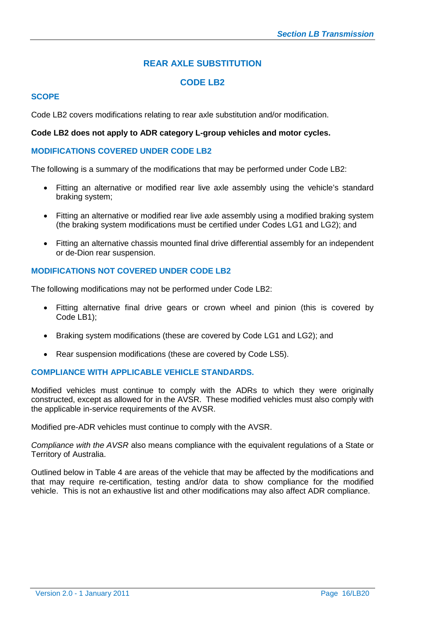# **REAR AXLE SUBSTITUTION**

# **CODE LB2**

# **SCOPE**

Code LB2 covers modifications relating to rear axle substitution and/or modification.

#### **Code LB2 does not apply to ADR category L-group vehicles and motor cycles.**

# **MODIFICATIONS COVERED UNDER CODE LB2**

The following is a summary of the modifications that may be performed under Code LB2:

- Fitting an alternative or modified rear live axle assembly using the vehicle's standard braking system;
- Fitting an alternative or modified rear live axle assembly using a modified braking system (the braking system modifications must be certified under Codes LG1 and LG2); and
- Fitting an alternative chassis mounted final drive differential assembly for an independent or de-Dion rear suspension.

# **MODIFICATIONS NOT COVERED UNDER CODE LB2**

The following modifications may not be performed under Code LB2:

- Fitting alternative final drive gears or crown wheel and pinion (this is covered by Code LB1);
- Braking system modifications (these are covered by Code LG1 and LG2); and
- Rear suspension modifications (these are covered by Code LS5).

# **COMPLIANCE WITH APPLICABLE VEHICLE STANDARDS.**

Modified vehicles must continue to comply with the ADRs to which they were originally constructed, except as allowed for in the AVSR. These modified vehicles must also comply with the applicable in-service requirements of the AVSR.

Modified pre-ADR vehicles must continue to comply with the AVSR.

*Compliance with the AVSR* also means compliance with the equivalent regulations of a State or Territory of Australia.

Outlined below in Table 4 are areas of the vehicle that may be affected by the modifications and that may require re-certification, testing and/or data to show compliance for the modified vehicle. This is not an exhaustive list and other modifications may also affect ADR compliance.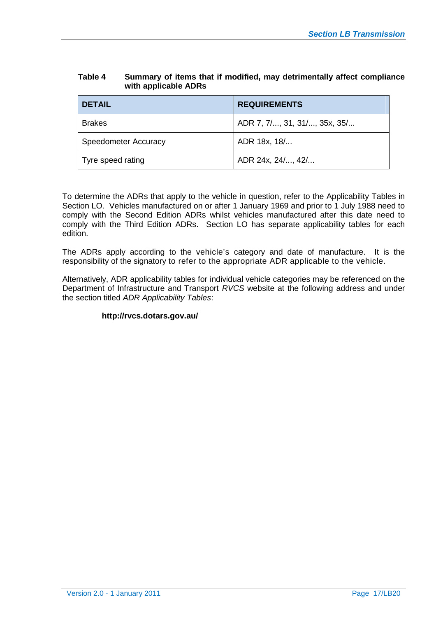#### **Table 4 Summary of items that if modified, may detrimentally affect compliance with applicable ADRs**

| <b>DETAIL</b>        | <b>REQUIREMENTS</b>          |
|----------------------|------------------------------|
| <b>Brakes</b>        | ADR 7, 7/, 31, 31/, 35x, 35/ |
| Speedometer Accuracy | ADR 18x, 18/                 |
| Tyre speed rating    | ADR 24x, 24/, 42/            |

To determine the ADRs that apply to the vehicle in question, refer to the Applicability Tables in Section LO. Vehicles manufactured on or after 1 January 1969 and prior to 1 July 1988 need to comply with the Second Edition ADRs whilst vehicles manufactured after this date need to comply with the Third Edition ADRs. Section LO has separate applicability tables for each edition.

The ADRs apply according to the vehicle's category and date of manufacture. It is the responsibility of the signatory to refer to the appropriate ADR applicable to the vehicle.

Alternatively, ADR applicability tables for individual vehicle categories may be referenced on the Department of Infrastructure and Transport *RVCS* website at the following address and under the section titled *ADR Applicability Tables*:

# **http://rvcs.dotars.gov.au/**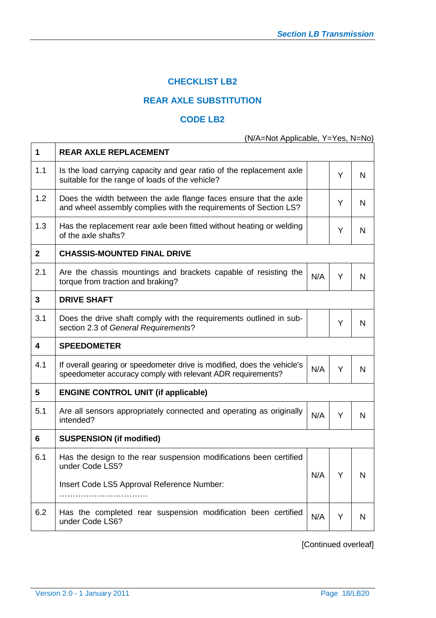# **CHECKLIST LB2**

# **REAR AXLE SUBSTITUTION**

# **CODE LB2**

(N/A=Not Applicable, Y=Yes, N=No)

| 1            | <b>REAR AXLE REPLACEMENT</b>                                                                                                           |     |   |   |
|--------------|----------------------------------------------------------------------------------------------------------------------------------------|-----|---|---|
| 1.1          | Is the load carrying capacity and gear ratio of the replacement axle<br>suitable for the range of loads of the vehicle?                |     | Y | N |
| 1.2          | Does the width between the axle flange faces ensure that the axle<br>and wheel assembly complies with the requirements of Section LS?  |     | Y | N |
| 1.3          | Has the replacement rear axle been fitted without heating or welding<br>of the axle shafts?                                            |     | Y | N |
| $\mathbf{2}$ | <b>CHASSIS-MOUNTED FINAL DRIVE</b>                                                                                                     |     |   |   |
| 2.1          | Are the chassis mountings and brackets capable of resisting the<br>torque from traction and braking?                                   | N/A | Y | N |
| 3            | <b>DRIVE SHAFT</b>                                                                                                                     |     |   |   |
| 3.1          | Does the drive shaft comply with the requirements outlined in sub-<br>section 2.3 of General Requirements?                             |     | Y | N |
| 4            | <b>SPEEDOMETER</b>                                                                                                                     |     |   |   |
| 4.1          | If overall gearing or speedometer drive is modified, does the vehicle's<br>speedometer accuracy comply with relevant ADR requirements? | N/A | Y | N |
| 5            | <b>ENGINE CONTROL UNIT (if applicable)</b>                                                                                             |     |   |   |
| 5.1          | Are all sensors appropriately connected and operating as originally<br>intended?                                                       | N/A | Y | N |
| 6            | <b>SUSPENSION (if modified)</b>                                                                                                        |     |   |   |
| 6.1          | Has the design to the rear suspension modifications been certified<br>under Code LS5?                                                  | N/A | Y | N |
|              | Insert Code LS5 Approval Reference Number:                                                                                             |     |   |   |
| 6.2          | Has the completed rear suspension modification been certified<br>under Code LS6?                                                       | N/A | Υ | N |

[Continued overleaf]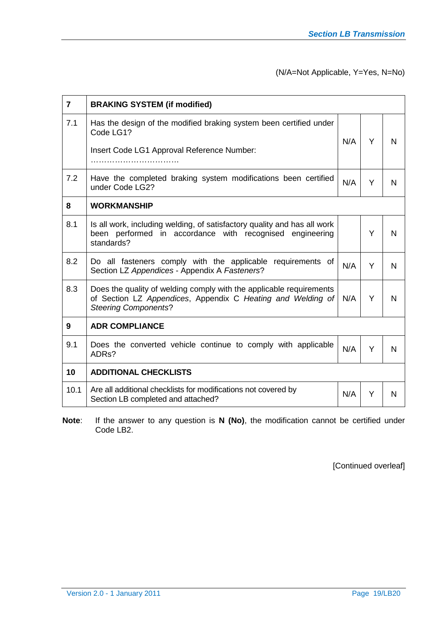# (N/A=Not Applicable, Y=Yes, N=No)

| $\overline{7}$ | <b>BRAKING SYSTEM (if modified)</b>                                                                                                                               |     |   |   |
|----------------|-------------------------------------------------------------------------------------------------------------------------------------------------------------------|-----|---|---|
| 7.1            | Has the design of the modified braking system been certified under<br>Code LG1?<br>Insert Code LG1 Approval Reference Number:                                     | N/A | Y | N |
| 7.2            | Have the completed braking system modifications been certified<br>under Code LG2?                                                                                 | N/A | Y | N |
| 8              | <b>WORKMANSHIP</b>                                                                                                                                                |     |   |   |
| 8.1            | Is all work, including welding, of satisfactory quality and has all work<br>been performed in accordance with recognised engineering<br>standards?                |     | Y | N |
| 8.2            | Do all fasteners comply with the applicable requirements of<br>Section LZ Appendices - Appendix A Fasteners?                                                      | N/A | Y | N |
| 8.3            | Does the quality of welding comply with the applicable requirements<br>of Section LZ Appendices, Appendix C Heating and Welding of<br><b>Steering Components?</b> | N/A | Y | N |
| 9              | <b>ADR COMPLIANCE</b>                                                                                                                                             |     |   |   |
| 9.1            | Does the converted vehicle continue to comply with applicable<br>ADR <sub>s</sub> ?                                                                               | N/A | Y | N |
| 10             | <b>ADDITIONAL CHECKLISTS</b>                                                                                                                                      |     |   |   |
| 10.1           | Are all additional checklists for modifications not covered by<br>Section LB completed and attached?                                                              | N/A | Y | N |

**Note**: If the answer to any question is **N (No)**, the modification cannot be certified under Code LB2.

[Continued overleaf]